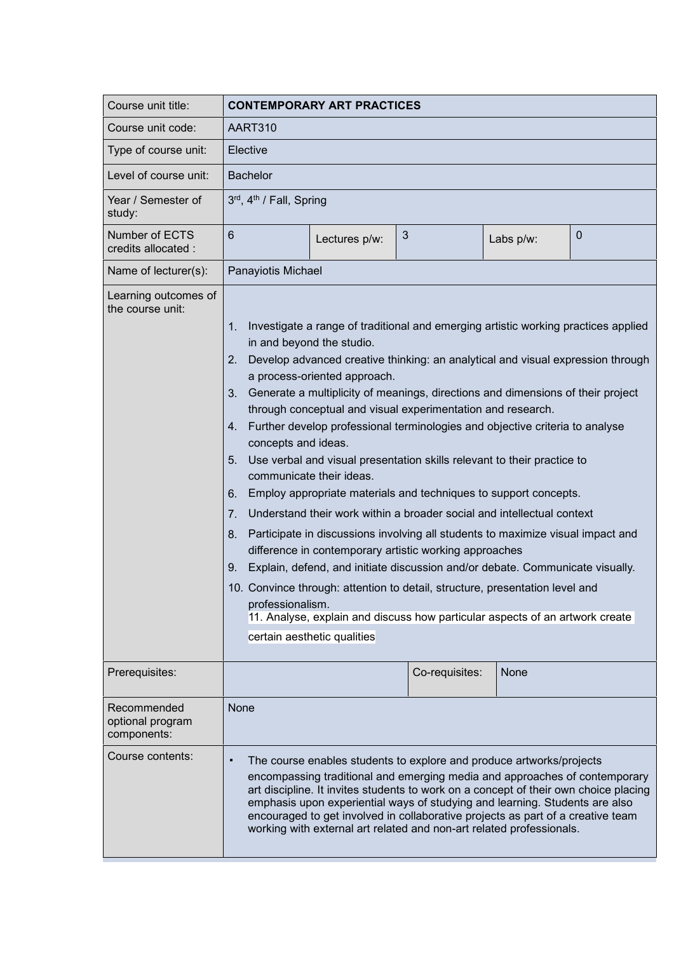| Course unit title:                             | <b>CONTEMPORARY ART PRACTICES</b>                                                                                                                                                                                                                                                                                                                                                                                                                                                                                                                                                                                                                                                                                                                                                                                                                                                                                                                                                                                                                                                                                                                                                                                                                       |               |                |           |   |
|------------------------------------------------|---------------------------------------------------------------------------------------------------------------------------------------------------------------------------------------------------------------------------------------------------------------------------------------------------------------------------------------------------------------------------------------------------------------------------------------------------------------------------------------------------------------------------------------------------------------------------------------------------------------------------------------------------------------------------------------------------------------------------------------------------------------------------------------------------------------------------------------------------------------------------------------------------------------------------------------------------------------------------------------------------------------------------------------------------------------------------------------------------------------------------------------------------------------------------------------------------------------------------------------------------------|---------------|----------------|-----------|---|
| Course unit code:                              | AART310                                                                                                                                                                                                                                                                                                                                                                                                                                                                                                                                                                                                                                                                                                                                                                                                                                                                                                                                                                                                                                                                                                                                                                                                                                                 |               |                |           |   |
| Type of course unit:                           | Elective                                                                                                                                                                                                                                                                                                                                                                                                                                                                                                                                                                                                                                                                                                                                                                                                                                                                                                                                                                                                                                                                                                                                                                                                                                                |               |                |           |   |
| Level of course unit:                          | <b>Bachelor</b>                                                                                                                                                                                                                                                                                                                                                                                                                                                                                                                                                                                                                                                                                                                                                                                                                                                                                                                                                                                                                                                                                                                                                                                                                                         |               |                |           |   |
| Year / Semester of<br>study:                   | 3rd, 4th / Fall, Spring                                                                                                                                                                                                                                                                                                                                                                                                                                                                                                                                                                                                                                                                                                                                                                                                                                                                                                                                                                                                                                                                                                                                                                                                                                 |               |                |           |   |
| Number of ECTS<br>credits allocated :          | $6\phantom{1}$                                                                                                                                                                                                                                                                                                                                                                                                                                                                                                                                                                                                                                                                                                                                                                                                                                                                                                                                                                                                                                                                                                                                                                                                                                          | Lectures p/w: | $\mathfrak{S}$ | Labs p/w: | 0 |
| Name of lecturer(s):                           | Panayiotis Michael                                                                                                                                                                                                                                                                                                                                                                                                                                                                                                                                                                                                                                                                                                                                                                                                                                                                                                                                                                                                                                                                                                                                                                                                                                      |               |                |           |   |
| Learning outcomes of<br>the course unit:       | Investigate a range of traditional and emerging artistic working practices applied<br>1.<br>in and beyond the studio.<br>Develop advanced creative thinking: an analytical and visual expression through<br>2.<br>a process-oriented approach.<br>3.<br>Generate a multiplicity of meanings, directions and dimensions of their project<br>through conceptual and visual experimentation and research.<br>Further develop professional terminologies and objective criteria to analyse<br>4.<br>concepts and ideas.<br>Use verbal and visual presentation skills relevant to their practice to<br>5.<br>communicate their ideas.<br>Employ appropriate materials and techniques to support concepts.<br>6.<br>Understand their work within a broader social and intellectual context<br>7.<br>Participate in discussions involving all students to maximize visual impact and<br>8.<br>difference in contemporary artistic working approaches<br>Explain, defend, and initiate discussion and/or debate. Communicate visually.<br>9.<br>10. Convince through: attention to detail, structure, presentation level and<br>professionalism.<br>11. Analyse, explain and discuss how particular aspects of an artwork create<br>certain aesthetic qualities |               |                |           |   |
| Prerequisites:                                 |                                                                                                                                                                                                                                                                                                                                                                                                                                                                                                                                                                                                                                                                                                                                                                                                                                                                                                                                                                                                                                                                                                                                                                                                                                                         |               | Co-requisites: | None      |   |
| Recommended<br>optional program<br>components: | None                                                                                                                                                                                                                                                                                                                                                                                                                                                                                                                                                                                                                                                                                                                                                                                                                                                                                                                                                                                                                                                                                                                                                                                                                                                    |               |                |           |   |
| Course contents:                               | The course enables students to explore and produce artworks/projects<br>٠<br>encompassing traditional and emerging media and approaches of contemporary<br>art discipline. It invites students to work on a concept of their own choice placing<br>emphasis upon experiential ways of studying and learning. Students are also<br>encouraged to get involved in collaborative projects as part of a creative team<br>working with external art related and non-art related professionals.                                                                                                                                                                                                                                                                                                                                                                                                                                                                                                                                                                                                                                                                                                                                                               |               |                |           |   |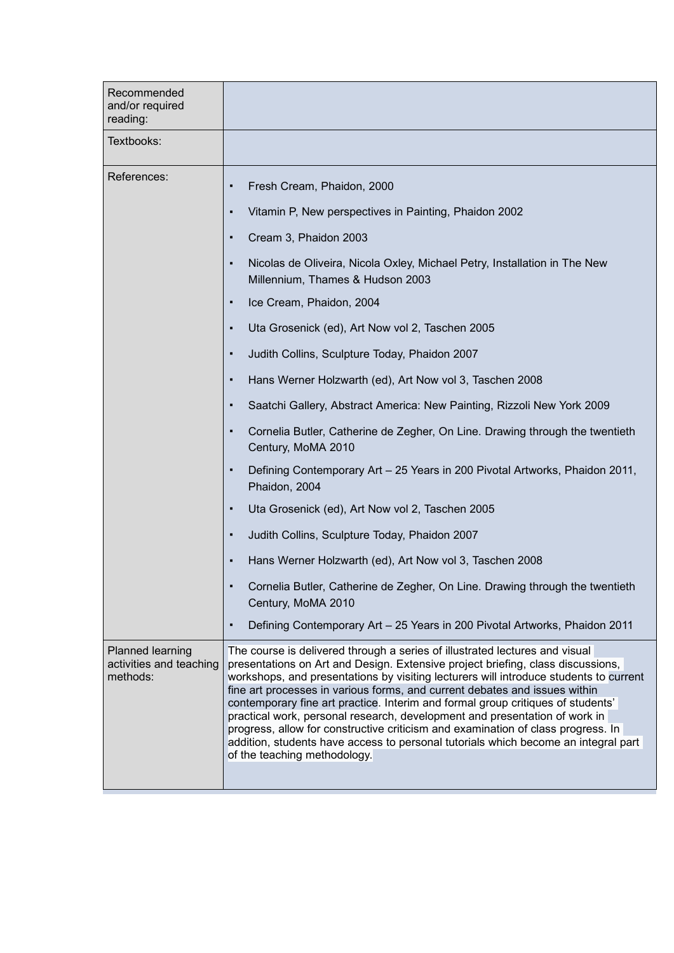| Recommended<br>and/or required<br>reading:              |                                                                                                                                                                                                                                                                                                                                                                                                                                                                                                                                                                                                                                                                                                                  |  |  |  |
|---------------------------------------------------------|------------------------------------------------------------------------------------------------------------------------------------------------------------------------------------------------------------------------------------------------------------------------------------------------------------------------------------------------------------------------------------------------------------------------------------------------------------------------------------------------------------------------------------------------------------------------------------------------------------------------------------------------------------------------------------------------------------------|--|--|--|
| Textbooks:                                              |                                                                                                                                                                                                                                                                                                                                                                                                                                                                                                                                                                                                                                                                                                                  |  |  |  |
| References:                                             | Fresh Cream, Phaidon, 2000<br>$\blacksquare$                                                                                                                                                                                                                                                                                                                                                                                                                                                                                                                                                                                                                                                                     |  |  |  |
|                                                         | Vitamin P, New perspectives in Painting, Phaidon 2002<br>$\blacksquare$                                                                                                                                                                                                                                                                                                                                                                                                                                                                                                                                                                                                                                          |  |  |  |
|                                                         | Cream 3, Phaidon 2003<br>٠                                                                                                                                                                                                                                                                                                                                                                                                                                                                                                                                                                                                                                                                                       |  |  |  |
|                                                         | Nicolas de Oliveira, Nicola Oxley, Michael Petry, Installation in The New<br>Millennium, Thames & Hudson 2003                                                                                                                                                                                                                                                                                                                                                                                                                                                                                                                                                                                                    |  |  |  |
|                                                         | Ice Cream, Phaidon, 2004<br>٠                                                                                                                                                                                                                                                                                                                                                                                                                                                                                                                                                                                                                                                                                    |  |  |  |
|                                                         | Uta Grosenick (ed), Art Now vol 2, Taschen 2005<br>٠                                                                                                                                                                                                                                                                                                                                                                                                                                                                                                                                                                                                                                                             |  |  |  |
|                                                         | Judith Collins, Sculpture Today, Phaidon 2007<br>$\blacksquare$                                                                                                                                                                                                                                                                                                                                                                                                                                                                                                                                                                                                                                                  |  |  |  |
|                                                         | Hans Werner Holzwarth (ed), Art Now vol 3, Taschen 2008<br>٠                                                                                                                                                                                                                                                                                                                                                                                                                                                                                                                                                                                                                                                     |  |  |  |
|                                                         | Saatchi Gallery, Abstract America: New Painting, Rizzoli New York 2009<br>٠                                                                                                                                                                                                                                                                                                                                                                                                                                                                                                                                                                                                                                      |  |  |  |
|                                                         | Cornelia Butler, Catherine de Zegher, On Line. Drawing through the twentieth<br>٠<br>Century, MoMA 2010                                                                                                                                                                                                                                                                                                                                                                                                                                                                                                                                                                                                          |  |  |  |
|                                                         | Defining Contemporary Art - 25 Years in 200 Pivotal Artworks, Phaidon 2011,<br>٠<br>Phaidon, 2004                                                                                                                                                                                                                                                                                                                                                                                                                                                                                                                                                                                                                |  |  |  |
|                                                         | Uta Grosenick (ed), Art Now vol 2, Taschen 2005<br>٠                                                                                                                                                                                                                                                                                                                                                                                                                                                                                                                                                                                                                                                             |  |  |  |
|                                                         | Judith Collins, Sculpture Today, Phaidon 2007<br>٠                                                                                                                                                                                                                                                                                                                                                                                                                                                                                                                                                                                                                                                               |  |  |  |
|                                                         | Hans Werner Holzwarth (ed), Art Now vol 3, Taschen 2008                                                                                                                                                                                                                                                                                                                                                                                                                                                                                                                                                                                                                                                          |  |  |  |
|                                                         | Cornelia Butler, Catherine de Zegher, On Line. Drawing through the twentieth<br>Century, MoMA 2010                                                                                                                                                                                                                                                                                                                                                                                                                                                                                                                                                                                                               |  |  |  |
|                                                         | Defining Contemporary Art - 25 Years in 200 Pivotal Artworks, Phaidon 2011<br>$\blacksquare$                                                                                                                                                                                                                                                                                                                                                                                                                                                                                                                                                                                                                     |  |  |  |
| Planned learning<br>activities and teaching<br>methods: | The course is delivered through a series of illustrated lectures and visual<br>presentations on Art and Design. Extensive project briefing, class discussions,<br>workshops, and presentations by visiting lecturers will introduce students to current<br>fine art processes in various forms, and current debates and issues within<br>contemporary fine art practice. Interim and formal group critiques of students'<br>practical work, personal research, development and presentation of work in<br>progress, allow for constructive criticism and examination of class progress. In<br>addition, students have access to personal tutorials which become an integral part<br>of the teaching methodology. |  |  |  |